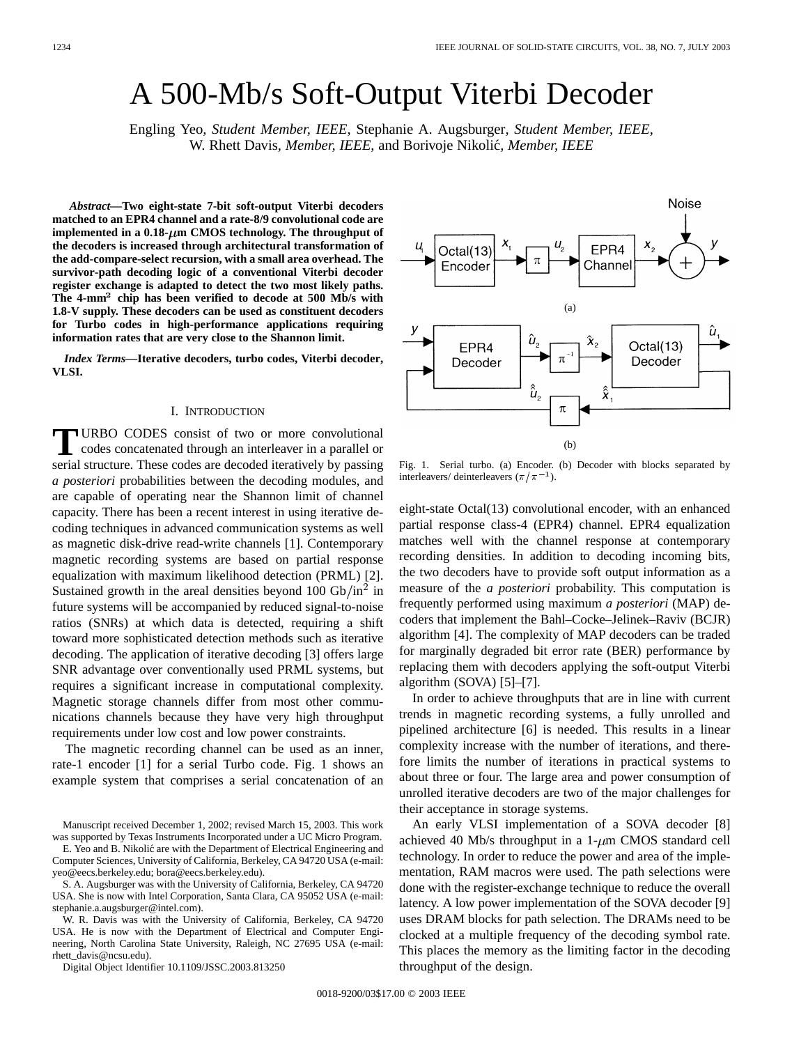# A 500-Mb/s Soft-Output Viterbi Decoder

Engling Yeo*, Student Member, IEEE*, Stephanie A. Augsburger*, Student Member, IEEE*, W. Rhett Davis*, Member, IEEE*, and Borivoje Nikolic´*, Member, IEEE*

*Abstract—***Two eight-state 7-bit soft-output Viterbi decoders matched to an EPR4 channel and a rate-8/9 convolutional code are** implemented in a 0.18- $\mu$ m CMOS technology. The throughput of **the decoders is increased through architectural transformation of the add-compare-select recursion, with a small area overhead. The survivor-path decoding logic of a conventional Viterbi decoder register exchange is adapted to detect the two most likely paths. The 4-mm**<sup>2</sup> **chip has been verified to decode at 500 Mb/s with 1.8-V supply. These decoders can be used as constituent decoders for Turbo codes in high-performance applications requiring information rates that are very close to the Shannon limit.**

*Index Terms—***Iterative decoders, turbo codes, Viterbi decoder, VLSI.**

#### I. INTRODUCTION

T URBO CODES consist of two or more convolutional codes concatenated through an interleaver in a parallel or serial structure. These codes are decoded iteratively by passing *a posteriori* probabilities between the decoding modules, and are capable of operating near the Shannon limit of channel capacity. There has been a recent interest in using iterative decoding techniques in advanced communication systems as well as magnetic disk-drive read-write channels [1]. Contemporary magnetic recording systems are based on partial response equalization with maximum likelihood detection (PRML) [2]. Sustained growth in the areal densities beyond  $100 \text{ Gb} / \text{in}^2$  in future systems will be accompanied by reduced signal-to-noise ratios (SNRs) at which data is detected, requiring a shift toward more sophisticated detection methods such as iterative decoding. The application of iterative decoding [3] offers large SNR advantage over conventionally used PRML systems, but requires a significant increase in computational complexity. Magnetic storage channels differ from most other communications channels because they have very high throughput requirements under low cost and low power constraints.

The magnetic recording channel can be used as an inner, rate-1 encoder [1] for a serial Turbo code. Fig. 1 shows an example system that comprises a serial concatenation of an

Manuscript received December 1, 2002; revised March 15, 2003. This work was supported by Texas Instruments Incorporated under a UC Micro Program.

E. Yeo and B. Nikolić are with the Department of Electrical Engineering and Computer Sciences, University of California, Berkeley, CA 94720 USA (e-mail: yeo@eecs.berkeley.edu; bora@eecs.berkeley.edu).

S. A. Augsburger was with the University of California, Berkeley, CA 94720 USA. She is now with Intel Corporation, Santa Clara, CA 95052 USA (e-mail: stephanie.a.augsburger@intel.com).

W. R. Davis was with the University of California, Berkeley, CA 94720 USA. He is now with the Department of Electrical and Computer Engineering, North Carolina State University, Raleigh, NC 27695 USA (e-mail: rhett\_davis@ncsu.edu).

Digital Object Identifier 10.1109/JSSC.2003.813250

**Noise** EPR4 Octal(13) Encoder Channel (a) Ĥ  $\mathbf{\hat{x}}_{2}$ Octal(13) EPR4 Decoder Decoder  $\hat{\tilde{u}}_2$  $\hat{\hat{\mathsf{x}}}$ π (b)

Fig. 1. Serial turbo. (a) Encoder. (b) Decoder with blocks separated by interleavers/ deinterleavers  $(\pi / \pi^{-1})$ .

eight-state Octal(13) convolutional encoder, with an enhanced partial response class-4 (EPR4) channel. EPR4 equalization matches well with the channel response at contemporary recording densities. In addition to decoding incoming bits, the two decoders have to provide soft output information as a measure of the *a posteriori* probability. This computation is frequently performed using maximum *a posteriori* (MAP) decoders that implement the Bahl–Cocke–Jelinek–Raviv (BCJR) algorithm [4]. The complexity of MAP decoders can be traded for marginally degraded bit error rate (BER) performance by replacing them with decoders applying the soft-output Viterbi algorithm (SOVA) [5]–[7].

In order to achieve throughputs that are in line with current trends in magnetic recording systems, a fully unrolled and pipelined architecture [6] is needed. This results in a linear complexity increase with the number of iterations, and therefore limits the number of iterations in practical systems to about three or four. The large area and power consumption of unrolled iterative decoders are two of the major challenges for their acceptance in storage systems.

An early VLSI implementation of a SOVA decoder [8] achieved 40 Mb/s throughput in a  $1-\mu m$  CMOS standard cell technology. In order to reduce the power and area of the implementation, RAM macros were used. The path selections were done with the register-exchange technique to reduce the overall latency. A low power implementation of the SOVA decoder [9] uses DRAM blocks for path selection. The DRAMs need to be clocked at a multiple frequency of the decoding symbol rate. This places the memory as the limiting factor in the decoding throughput of the design.

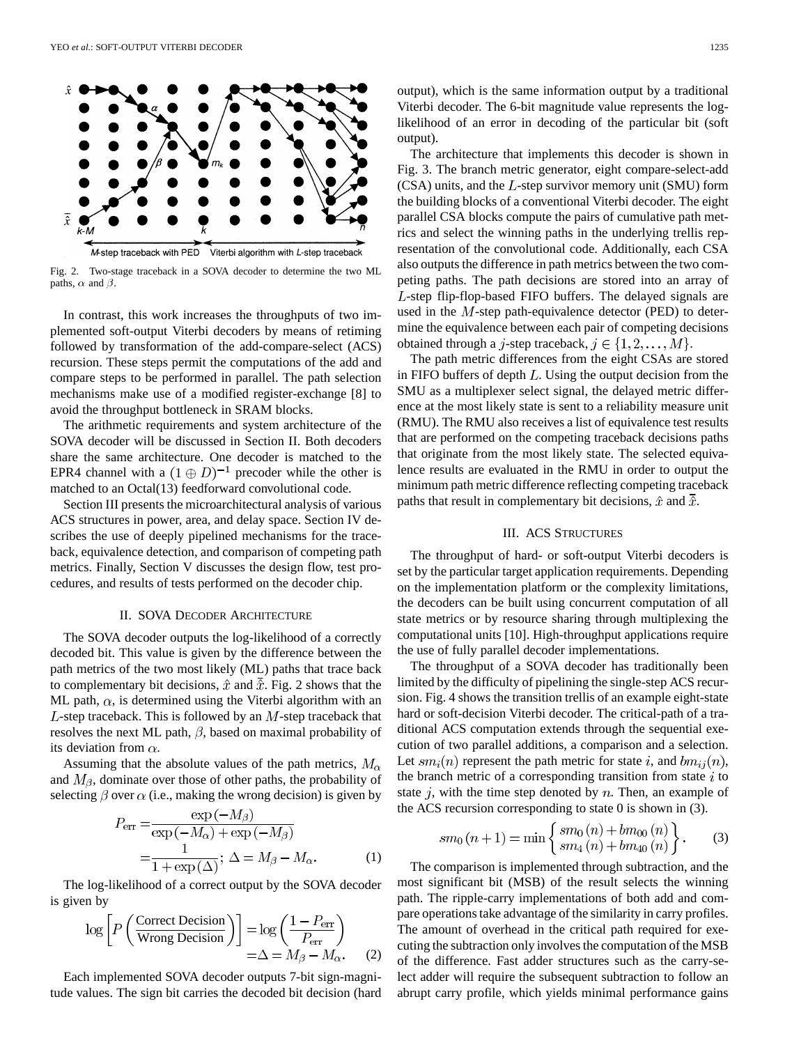

Fig. 2. Two-stage traceback in a SOVA decoder to determine the two ML paths,  $\alpha$  and  $\beta$ .

In contrast, this work increases the throughputs of two implemented soft-output Viterbi decoders by means of retiming followed by transformation of the add-compare-select (ACS) recursion. These steps permit the computations of the add and compare steps to be performed in parallel. The path selection mechanisms make use of a modified register-exchange [8] to avoid the throughput bottleneck in SRAM blocks.

The arithmetic requirements and system architecture of the SOVA decoder will be discussed in Section II. Both decoders share the same architecture. One decoder is matched to the EPR4 channel with a  $(1 \oplus D)^{-1}$  precoder while the other is matched to an Octal(13) feedforward convolutional code.

Section III presents the microarchitectural analysis of various ACS structures in power, area, and delay space. Section IV describes the use of deeply pipelined mechanisms for the traceback, equivalence detection, and comparison of competing path metrics. Finally, Section V discusses the design flow, test procedures, and results of tests performed on the decoder chip.

## II. SOVA DECODER ARCHITECTURE

The SOVA decoder outputs the log-likelihood of a correctly decoded bit. This value is given by the difference between the path metrics of the two most likely (ML) paths that trace back to complementary bit decisions,  $\hat{x}$  and  $\hat{x}$ . Fig. 2 shows that the ML path,  $\alpha$ , is determined using the Viterbi algorithm with an  $L$ -step traceback. This is followed by an  $M$ -step traceback that resolves the next ML path,  $\beta$ , based on maximal probability of its deviation from  $\alpha$ .

Assuming that the absolute values of the path metrics,  $M_{\alpha}$ and  $M_{\beta}$ , dominate over those of other paths, the probability of selecting  $\beta$  over  $\alpha$  (i.e., making the wrong decision) is given by

$$
P_{\text{err}} = \frac{\exp(-M_{\beta})}{\exp(-M_{\alpha}) + \exp(-M_{\beta})}
$$
  
=  $\frac{1}{1 + \exp(\Delta)}$ ;  $\Delta = M_{\beta} - M_{\alpha}$ . (1)

The log-likelihood of a correct output by the SOVA decoder is given by

$$
\log \left[ P \left( \frac{\text{Correct Decision}}{\text{Wrong Decision}} \right) \right] = \log \left( \frac{1 - P_{\text{err}}}{P_{\text{err}}} \right) = \Delta = M_{\beta} - M_{\alpha}.
$$
 (2)

Each implemented SOVA decoder outputs 7-bit sign-magnitude values. The sign bit carries the decoded bit decision (hard output), which is the same information output by a traditional Viterbi decoder. The 6-bit magnitude value represents the loglikelihood of an error in decoding of the particular bit (soft output).

The architecture that implements this decoder is shown in Fig. 3. The branch metric generator, eight compare-select-add  $(CSA)$  units, and the  $L$ -step survivor memory unit (SMU) form the building blocks of a conventional Viterbi decoder. The eight parallel CSA blocks compute the pairs of cumulative path metrics and select the winning paths in the underlying trellis representation of the convolutional code. Additionally, each CSA also outputs the difference in path metrics between the two competing paths. The path decisions are stored into an array of  $L$ -step flip-flop-based FIFO buffers. The delayed signals are used in the  $M$ -step path-equivalence detector (PED) to determine the equivalence between each pair of competing decisions obtained through a *j*-step traceback,  $j \in \{1, 2, ..., M\}$ .

The path metric differences from the eight CSAs are stored in FIFO buffers of depth  $L$ . Using the output decision from the SMU as a multiplexer select signal, the delayed metric difference at the most likely state is sent to a reliability measure unit (RMU). The RMU also receives a list of equivalence test results that are performed on the competing traceback decisions paths that originate from the most likely state. The selected equivalence results are evaluated in the RMU in order to output the minimum path metric difference reflecting competing traceback paths that result in complementary bit decisions,  $\hat{x}$  and  $\hat{x}$ .

## III. ACS STRUCTURES

The throughput of hard- or soft-output Viterbi decoders is set by the particular target application requirements. Depending on the implementation platform or the complexity limitations, the decoders can be built using concurrent computation of all state metrics or by resource sharing through multiplexing the computational units [10]. High-throughput applications require the use of fully parallel decoder implementations.

The throughput of a SOVA decoder has traditionally been limited by the difficulty of pipelining the single-step ACS recursion. Fig. 4 shows the transition trellis of an example eight-state hard or soft-decision Viterbi decoder. The critical-path of a traditional ACS computation extends through the sequential execution of two parallel additions, a comparison and a selection. Let  $sm_i(n)$  represent the path metric for state i, and  $bm_{ij}(n)$ , the branch metric of a corresponding transition from state  $i$  to state  $j$ , with the time step denoted by  $n$ . Then, an example of the ACS recursion corresponding to state 0 is shown in (3).

$$
sm_0(n+1) = \min\left\{\begin{matrix} sm_0(n) + bm_{00}(n) \\ sm_4(n) + bm_{40}(n) \end{matrix}\right\}.
$$
 (3)

The comparison is implemented through subtraction, and the most significant bit (MSB) of the result selects the winning path. The ripple-carry implementations of both add and compare operations take advantage of the similarity in carry profiles. The amount of overhead in the critical path required for executing the subtraction only involves the computation of the MSB of the difference. Fast adder structures such as the carry-select adder will require the subsequent subtraction to follow an abrupt carry profile, which yields minimal performance gains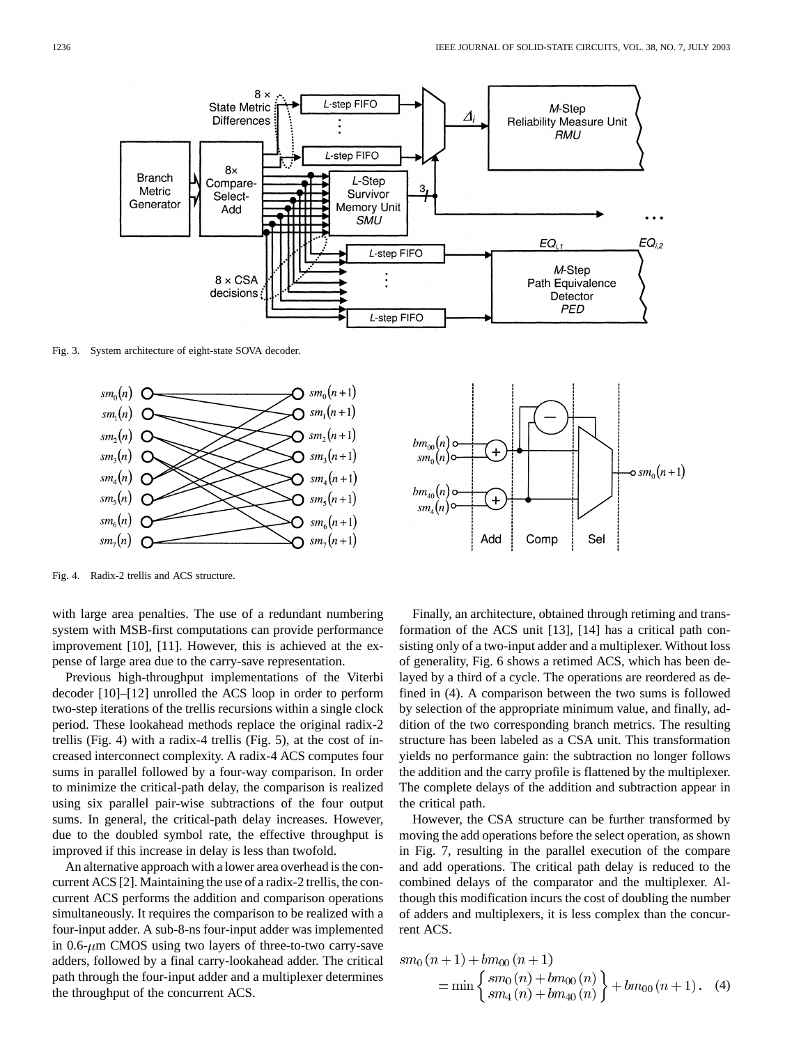

Fig. 3. System architecture of eight-state SOVA decoder.





Fig. 4. Radix-2 trellis and ACS structure.

with large area penalties. The use of a redundant numbering system with MSB-first computations can provide performance improvement [10], [11]. However, this is achieved at the expense of large area due to the carry-save representation.

Previous high-throughput implementations of the Viterbi decoder [10]–[12] unrolled the ACS loop in order to perform two-step iterations of the trellis recursions within a single clock period. These lookahead methods replace the original radix-2 trellis (Fig. 4) with a radix-4 trellis (Fig. 5), at the cost of increased interconnect complexity. A radix-4 ACS computes four sums in parallel followed by a four-way comparison. In order to minimize the critical-path delay, the comparison is realized using six parallel pair-wise subtractions of the four output sums. In general, the critical-path delay increases. However, due to the doubled symbol rate, the effective throughput is improved if this increase in delay is less than twofold.

An alternative approach with a lower area overhead is the concurrent ACS [2]. Maintaining the use of a radix-2 trellis, the concurrent ACS performs the addition and comparison operations simultaneously. It requires the comparison to be realized with a four-input adder. A sub-8-ns four-input adder was implemented in  $0.6-\mu m$  CMOS using two layers of three-to-two carry-save adders, followed by a final carry-lookahead adder. The critical path through the four-input adder and a multiplexer determines the throughput of the concurrent ACS.

Finally, an architecture, obtained through retiming and transformation of the ACS unit [13], [14] has a critical path consisting only of a two-input adder and a multiplexer. Without loss of generality, Fig. 6 shows a retimed ACS, which has been delayed by a third of a cycle. The operations are reordered as defined in (4). A comparison between the two sums is followed by selection of the appropriate minimum value, and finally, addition of the two corresponding branch metrics. The resulting structure has been labeled as a CSA unit. This transformation yields no performance gain: the subtraction no longer follows the addition and the carry profile is flattened by the multiplexer. The complete delays of the addition and subtraction appear in the critical path.

However, the CSA structure can be further transformed by moving the add operations before the select operation, as shown in Fig. 7, resulting in the parallel execution of the compare and add operations. The critical path delay is reduced to the combined delays of the comparator and the multiplexer. Although this modification incurs the cost of doubling the number of adders and multiplexers, it is less complex than the concurrent ACS.

$$
sm_0(n+1) + bm_{00}(n+1)
$$
  
= min  $\left\{\n \begin{array}{l}\n sm_0(n) + bm_{00}(n) \\
sm_4(n) + bm_{40}(n)\n \end{array}\n \right\}$  + bm<sub>00</sub>(n+1). (4)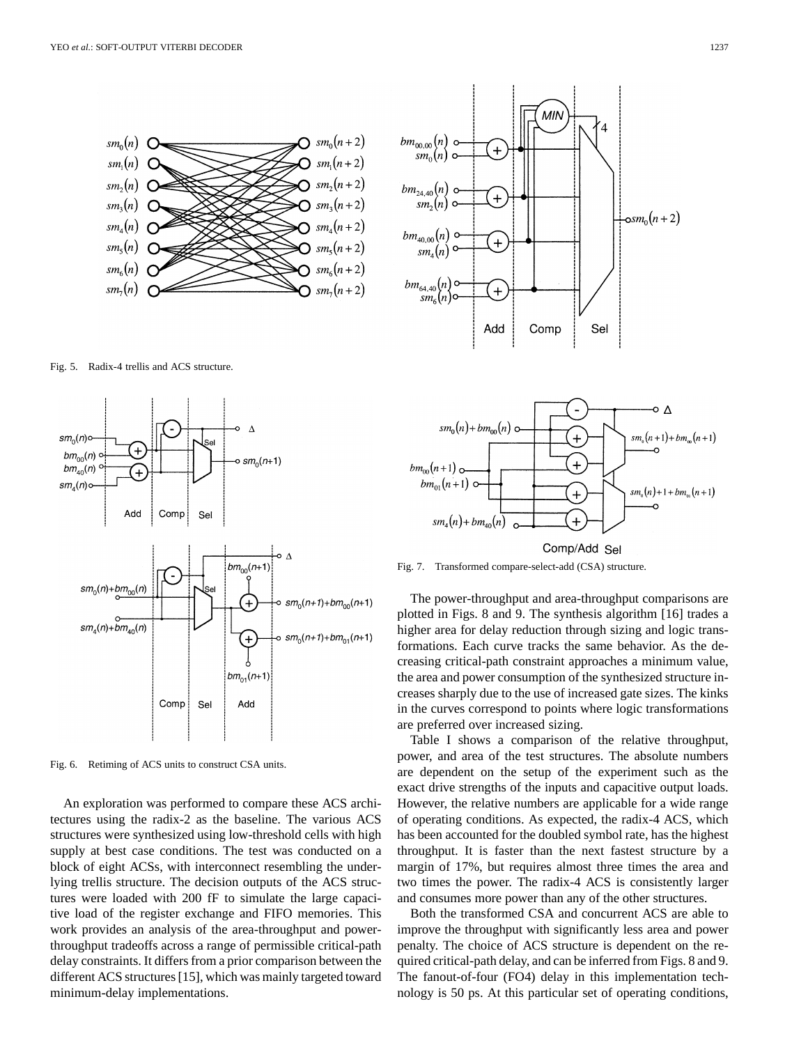

Fig. 5. Radix-4 trellis and ACS structure.



Fig. 6. Retiming of ACS units to construct CSA units.

An exploration was performed to compare these ACS architectures using the radix-2 as the baseline. The various ACS structures were synthesized using low-threshold cells with high supply at best case conditions. The test was conducted on a block of eight ACSs, with interconnect resembling the underlying trellis structure. The decision outputs of the ACS structures were loaded with 200 fF to simulate the large capacitive load of the register exchange and FIFO memories. This work provides an analysis of the area-throughput and powerthroughput tradeoffs across a range of permissible critical-path delay constraints. It differs from a prior comparison between the different ACS structures [15], which was mainly targeted toward minimum-delay implementations.





Fig. 7. Transformed compare-select-add (CSA) structure.

The power-throughput and area-throughput comparisons are plotted in Figs. 8 and 9. The synthesis algorithm [16] trades a higher area for delay reduction through sizing and logic transformations. Each curve tracks the same behavior. As the decreasing critical-path constraint approaches a minimum value, the area and power consumption of the synthesized structure increases sharply due to the use of increased gate sizes. The kinks in the curves correspond to points where logic transformations are preferred over increased sizing.

Table I shows a comparison of the relative throughput, power, and area of the test structures. The absolute numbers are dependent on the setup of the experiment such as the exact drive strengths of the inputs and capacitive output loads. However, the relative numbers are applicable for a wide range of operating conditions. As expected, the radix-4 ACS, which has been accounted for the doubled symbol rate, has the highest throughput. It is faster than the next fastest structure by a margin of 17%, but requires almost three times the area and two times the power. The radix-4 ACS is consistently larger and consumes more power than any of the other structures.

Both the transformed CSA and concurrent ACS are able to improve the throughput with significantly less area and power penalty. The choice of ACS structure is dependent on the required critical-path delay, and can be inferred from Figs. 8 and 9. The fanout-of-four (FO4) delay in this implementation technology is 50 ps. At this particular set of operating conditions,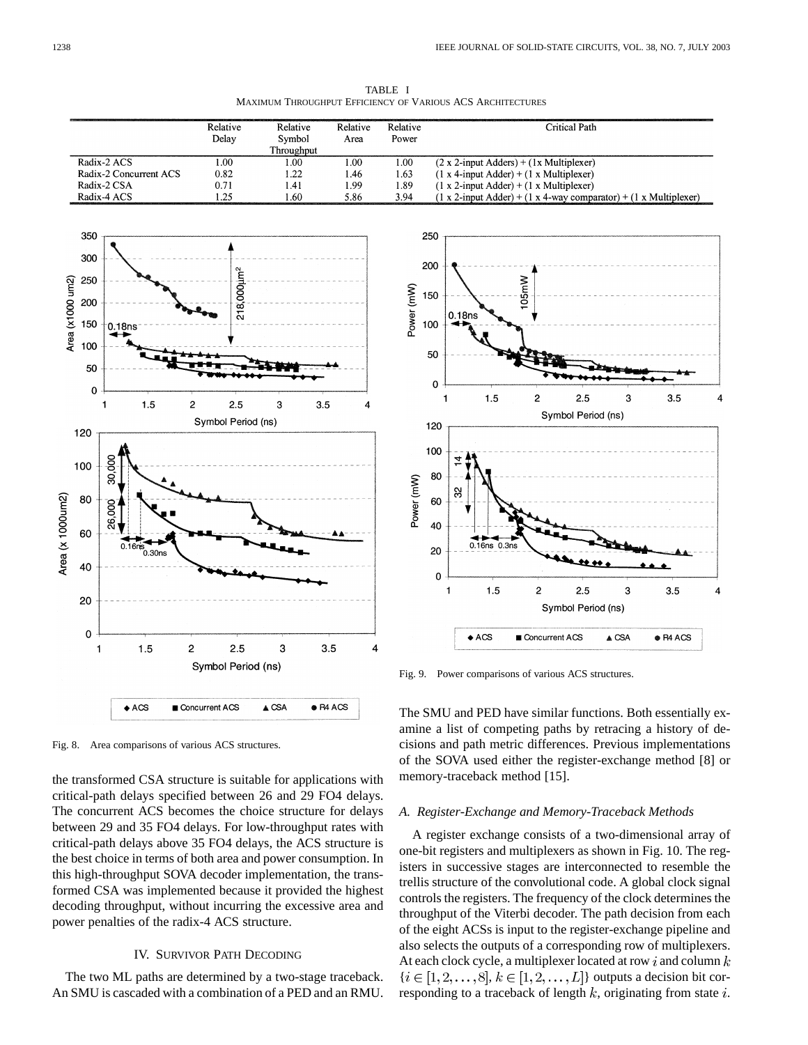TABLE I MAXIMUM THROUGHPUT EFFICIENCY OF VARIOUS ACS ARCHITECTURES



Fig. 8. Area comparisons of various ACS structures.

the transformed CSA structure is suitable for applications with critical-path delays specified between 26 and 29 FO4 delays. The concurrent ACS becomes the choice structure for delays between 29 and 35 FO4 delays. For low-throughput rates with critical-path delays above 35 FO4 delays, the ACS structure is the best choice in terms of both area and power consumption. In this high-throughput SOVA decoder implementation, the transformed CSA was implemented because it provided the highest decoding throughput, without incurring the excessive area and power penalties of the radix-4 ACS structure.

### IV. SURVIVOR PATH DECODING

The two ML paths are determined by a two-stage traceback. An SMU is cascaded with a combination of a PED and an RMU. The SMU and PED have similar functions. Both essentially examine a list of competing paths by retracing a history of decisions and path metric differences. Previous implementations of the SOVA used either the register-exchange method [8] or memory-traceback method [15].

4

## *A. Register-Exchange and Memory-Traceback Methods*

A register exchange consists of a two-dimensional array of one-bit registers and multiplexers as shown in Fig. 10. The registers in successive stages are interconnected to resemble the trellis structure of the convolutional code. A global clock signal controls the registers. The frequency of the clock determines the throughput of the Viterbi decoder. The path decision from each of the eight ACSs is input to the register-exchange pipeline and also selects the outputs of a corresponding row of multiplexers. At each clock cycle, a multiplexer located at row  $i$  and column  $k$  $\{i \in [1, 2, \ldots, 8], k \in [1, 2, \ldots, L]\}$  outputs a decision bit corresponding to a traceback of length  $k$ , originating from state  $i$ .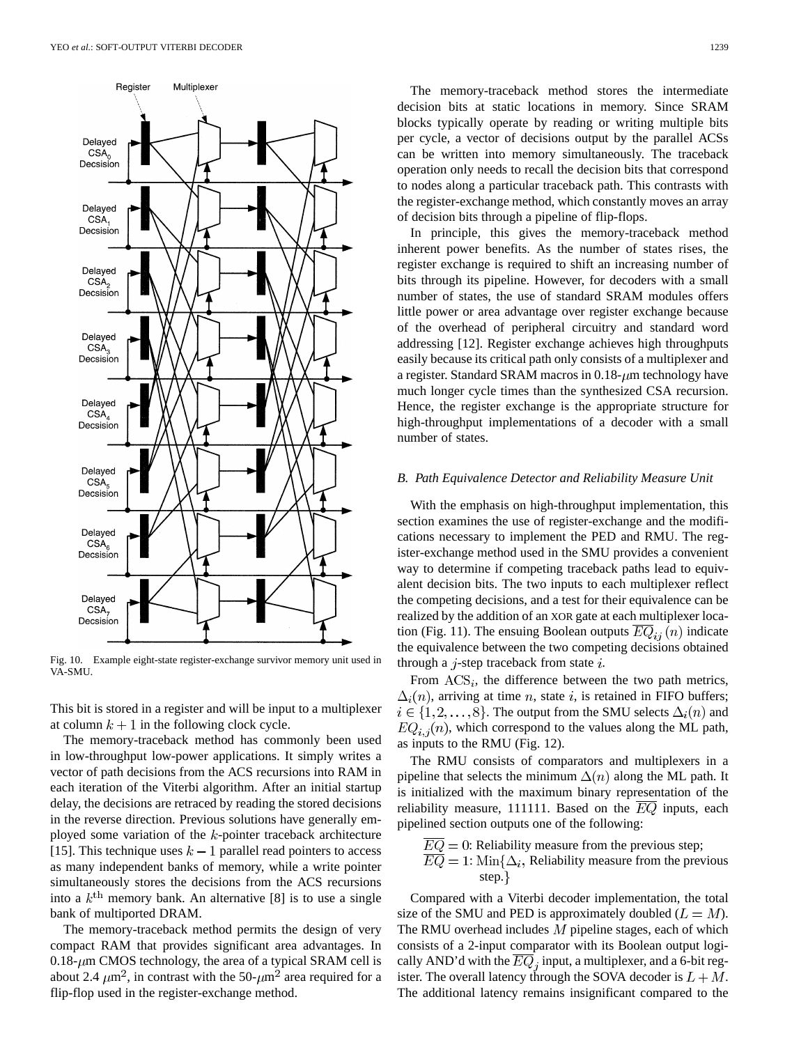

Fig. 10. Example eight-state register-exchange survivor memory unit used in VA-SMU.

This bit is stored in a register and will be input to a multiplexer at column  $k + 1$  in the following clock cycle.

The memory-traceback method has commonly been used in low-throughput low-power applications. It simply writes a vector of path decisions from the ACS recursions into RAM in each iteration of the Viterbi algorithm. After an initial startup delay, the decisions are retraced by reading the stored decisions in the reverse direction. Previous solutions have generally employed some variation of the  $k$ -pointer traceback architecture [15]. This technique uses  $k-1$  parallel read pointers to access as many independent banks of memory, while a write pointer simultaneously stores the decisions from the ACS recursions into a  $k^{\text{th}}$  memory bank. An alternative [8] is to use a single bank of multiported DRAM.

The memory-traceback method permits the design of very compact RAM that provides significant area advantages. In  $0.18 - \mu m$  CMOS technology, the area of a typical SRAM cell is about 2.4  $\mu$ m<sup>2</sup>, in contrast with the 50- $\mu$ m<sup>2</sup> area required for a flip-flop used in the register-exchange method.

The memory-traceback method stores the intermediate decision bits at static locations in memory. Since SRAM blocks typically operate by reading or writing multiple bits per cycle, a vector of decisions output by the parallel ACSs can be written into memory simultaneously. The traceback operation only needs to recall the decision bits that correspond to nodes along a particular traceback path. This contrasts with the register-exchange method, which constantly moves an array of decision bits through a pipeline of flip-flops.

In principle, this gives the memory-traceback method inherent power benefits. As the number of states rises, the register exchange is required to shift an increasing number of bits through its pipeline. However, for decoders with a small number of states, the use of standard SRAM modules offers little power or area advantage over register exchange because of the overhead of peripheral circuitry and standard word addressing [12]. Register exchange achieves high throughputs easily because its critical path only consists of a multiplexer and a register. Standard SRAM macros in  $0.18$ - $\mu$ m technology have much longer cycle times than the synthesized CSA recursion. Hence, the register exchange is the appropriate structure for high-throughput implementations of a decoder with a small number of states.

#### *B. Path Equivalence Detector and Reliability Measure Unit*

With the emphasis on high-throughput implementation, this section examines the use of register-exchange and the modifications necessary to implement the PED and RMU. The register-exchange method used in the SMU provides a convenient way to determine if competing traceback paths lead to equivalent decision bits. The two inputs to each multiplexer reflect the competing decisions, and a test for their equivalence can be realized by the addition of an XOR gate at each multiplexer location (Fig. 11). The ensuing Boolean outputs  $\overline{EQ}_{ii}(n)$  indicate the equivalence between the two competing decisions obtained through a  $j$ -step traceback from state  $i$ .

From  $\text{ACS}_i$ , the difference between the two path metrics,  $\Delta_i(n)$ , arriving at time *n*, state *i*, is retained in FIFO buffers;  $i \in \{1, 2, \ldots, 8\}$ . The output from the SMU selects  $\Delta_i(n)$  and  $EQ_{i,j}(n)$ , which correspond to the values along the ML path, as inputs to the RMU (Fig. 12).

The RMU consists of comparators and multiplexers in a pipeline that selects the minimum  $\Delta(n)$  along the ML path. It is initialized with the maximum binary representation of the reliability measure, 111111. Based on the  $EQ$  inputs, each pipelined section outputs one of the following:

 $EQ = 0$ : Reliability measure from the previous step;  $EQ = 1$ : Min $\{\Delta_i,$  Reliability measure from the previous step.}

Compared with a Viterbi decoder implementation, the total size of the SMU and PED is approximately doubled  $(L = M)$ . The RMU overhead includes  $M$  pipeline stages, each of which consists of a 2-input comparator with its Boolean output logically AND'd with the  $EQ_i$  input, a multiplexer, and a 6-bit register. The overall latency through the SOVA decoder is  $L + M$ . The additional latency remains insignificant compared to the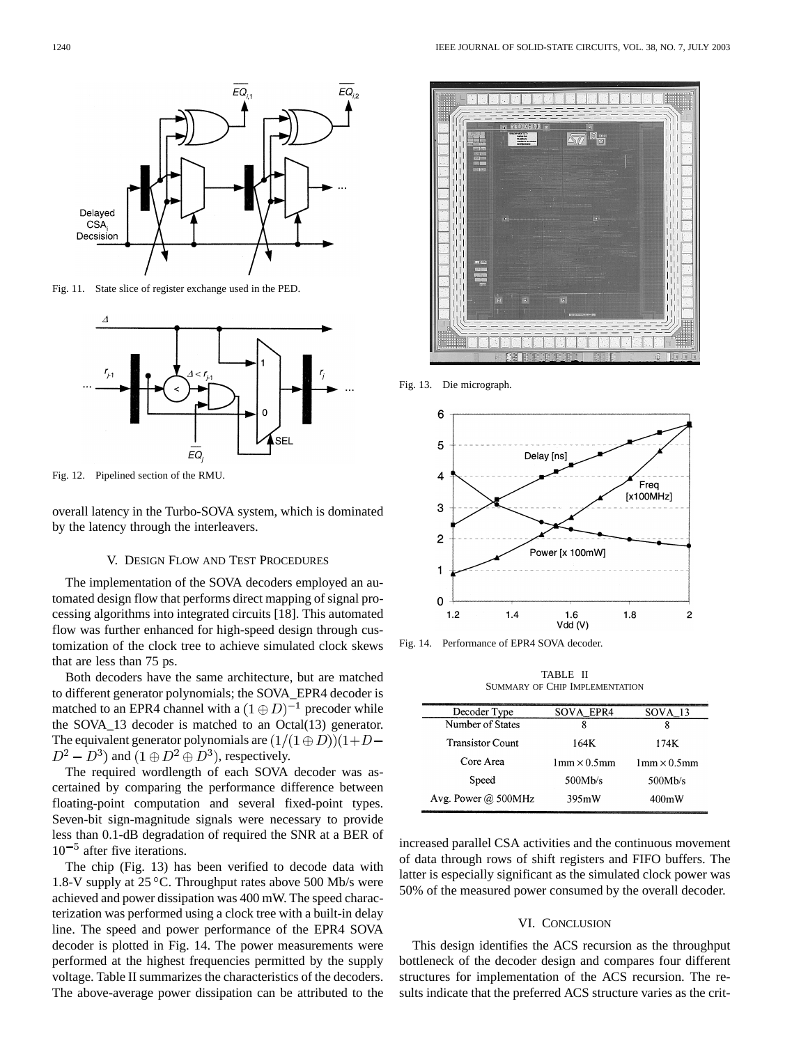

Fig. 11. State slice of register exchange used in the PED.



Fig. 12. Pipelined section of the RMU.

overall latency in the Turbo-SOVA system, which is dominated by the latency through the interleavers.

### V. DESIGN FLOW AND TEST PROCEDURES

The implementation of the SOVA decoders employed an automated design flow that performs direct mapping of signal processing algorithms into integrated circuits [18]. This automated flow was further enhanced for high-speed design through customization of the clock tree to achieve simulated clock skews that are less than 75 ps.

Both decoders have the same architecture, but are matched to different generator polynomials; the SOVA\_EPR4 decoder is matched to an EPR4 channel with a  $(1 \oplus D)^{-1}$  precoder while the SOVA\_13 decoder is matched to an Octal(13) generator. The equivalent generator polynomials are  $(1/(1 \oplus D))(1+D D^2 - D^3$  and  $(1 \oplus D^2 \oplus D^3)$ , respectively.

The required wordlength of each SOVA decoder was ascertained by comparing the performance difference between floating-point computation and several fixed-point types. Seven-bit sign-magnitude signals were necessary to provide less than 0.1-dB degradation of required the SNR at a BER of  $10^{-5}$  after five iterations.

The chip (Fig. 13) has been verified to decode data with 1.8-V supply at  $25^{\circ}$ C. Throughput rates above 500 Mb/s were achieved and power dissipation was 400 mW. The speed characterization was performed using a clock tree with a built-in delay line. The speed and power performance of the EPR4 SOVA decoder is plotted in Fig. 14. The power measurements were performed at the highest frequencies permitted by the supply voltage. Table II summarizes the characteristics of the decoders. The above-average power dissipation can be attributed to the



Fig. 13. Die micrograph.



Fig. 14. Performance of EPR4 SOVA decoder.

TABLE II SUMMARY OF CHIP IMPLEMENTATION

| Decoder Type            | SOVA EPR4                          | SOVA 13                            |
|-------------------------|------------------------------------|------------------------------------|
| Number of States        |                                    |                                    |
| <b>Transistor Count</b> | 164K                               | 174K                               |
| Core Area               | $1 \text{mm} \times 0.5 \text{mm}$ | $1 \text{mm} \times 0.5 \text{mm}$ |
| Speed                   | 500Mb/s                            | 500Mb/s                            |
| Avg. Power $@$ 500MHz   | 395mW                              | 400mW                              |

increased parallel CSA activities and the continuous movement of data through rows of shift registers and FIFO buffers. The latter is especially significant as the simulated clock power was 50% of the measured power consumed by the overall decoder.

### VI. CONCLUSION

This design identifies the ACS recursion as the throughput bottleneck of the decoder design and compares four different structures for implementation of the ACS recursion. The results indicate that the preferred ACS structure varies as the crit